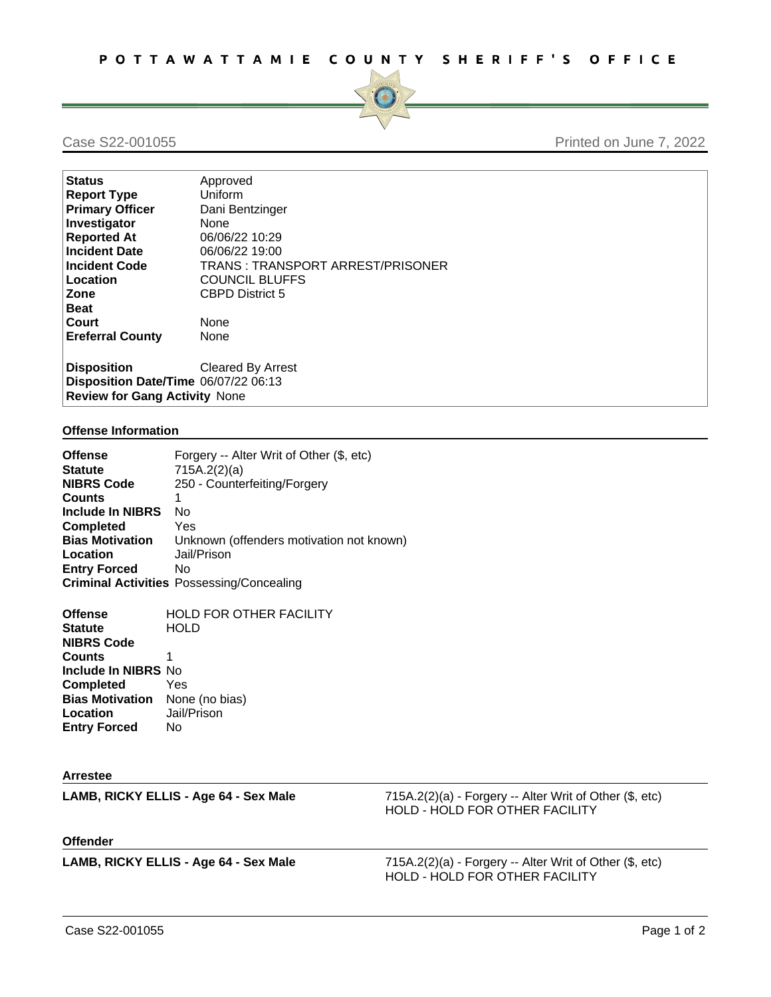

Case S22-001055 **Printed on June 7, 2022** 

| <b>Status</b>                        | Approved                         |  |
|--------------------------------------|----------------------------------|--|
| <b>Report Type</b>                   | Uniform                          |  |
| <b>Primary Officer</b>               | Dani Bentzinger                  |  |
| Investigator                         | None                             |  |
| <b>Reported At</b>                   | 06/06/22 10:29                   |  |
| <b>Incident Date</b>                 | 06/06/22 19:00                   |  |
| <b>Incident Code</b>                 | TRANS: TRANSPORT ARREST/PRISONER |  |
| Location                             | <b>COUNCIL BLUFFS</b>            |  |
| Zone                                 | <b>CBPD District 5</b>           |  |
| <b>Beat</b>                          |                                  |  |
| Court                                | None                             |  |
| <b>Ereferral County</b>              | None                             |  |
| <b>Disposition</b>                   | Cleared By Arrest                |  |
|                                      |                                  |  |
| Disposition Date/Time 06/07/22 06:13 |                                  |  |
| <b>Review for Gang Activity None</b> |                                  |  |

## **Offense Information**

| <b>Offense</b><br><b>Statute</b><br><b>NIBRS Code</b><br><b>Counts</b><br><b>Include In NIBRS</b><br><b>Completed</b><br><b>Bias Motivation</b><br>Location<br><b>Entry Forced</b> | Forgery -- Alter Writ of Other (\$, etc)<br>715A.2(2)(a)<br>250 - Counterfeiting/Forgery<br>1<br>No.<br>Yes<br>Unknown (offenders motivation not known)<br>Jail/Prison<br>No<br><b>Criminal Activities Possessing/Concealing</b> |                                                                                           |
|------------------------------------------------------------------------------------------------------------------------------------------------------------------------------------|----------------------------------------------------------------------------------------------------------------------------------------------------------------------------------------------------------------------------------|-------------------------------------------------------------------------------------------|
| <b>Offense</b><br><b>Statute</b><br><b>NIBRS Code</b><br><b>Counts</b><br>Include In NIBRS No<br><b>Completed</b><br><b>Bias Motivation</b><br>Location<br><b>Entry Forced</b>     | <b>HOLD FOR OTHER FACILITY</b><br><b>HOLD</b><br>1<br>Yes<br>None (no bias)<br>Jail/Prison<br>No                                                                                                                                 |                                                                                           |
| <b>Arrestee</b>                                                                                                                                                                    |                                                                                                                                                                                                                                  |                                                                                           |
|                                                                                                                                                                                    | LAMB, RICKY ELLIS - Age 64 - Sex Male                                                                                                                                                                                            | 715A.2(2)(a) - Forgery -- Alter Writ of Other (\$, etc)<br>HOLD - HOLD FOR OTHER FACILITY |

**Offender**

**LAMB, RICKY ELLIS - Age 64 - Sex Male** 715A.2(2)(a) - Forgery -- Alter Writ of Other (\$, etc) HOLD - HOLD FOR OTHER FACILITY